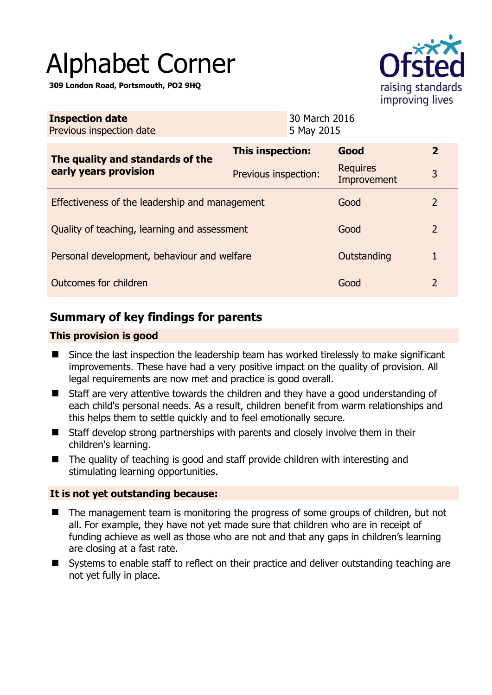# Alphabet Corner

**309 London Road, Portsmouth, PO2 9HQ** 



| <b>Inspection date</b><br>Previous inspection date | 30 March 2016<br>5 May 2015 |                 |                        |  |
|----------------------------------------------------|-----------------------------|-----------------|------------------------|--|
| The quality and standards of the                   | This inspection:            | Good            | $\overline{2}$         |  |
| early years provision                              | Previous inspection:        | <b>Requires</b> | 3<br>Improvement       |  |
| Effectiveness of the leadership and management     |                             |                 | Good<br>$\mathcal{L}$  |  |
| Quality of teaching, learning and assessment       |                             |                 | $\overline{2}$<br>Good |  |
| Personal development, behaviour and welfare        |                             |                 | Outstanding<br>1       |  |
| Outcomes for children                              |                             |                 | $\mathcal{P}$<br>Good  |  |

# **Summary of key findings for parents**

## **This provision is good**

- Since the last inspection the leadership team has worked tirelessly to make significant improvements. These have had a very positive impact on the quality of provision. All legal requirements are now met and practice is good overall.
- Staff are very attentive towards the children and they have a good understanding of each child's personal needs. As a result, children benefit from warm relationships and this helps them to settle quickly and to feel emotionally secure.
- Staff develop strong partnerships with parents and closely involve them in their children's learning.
- The quality of teaching is good and staff provide children with interesting and stimulating learning opportunities.

## **It is not yet outstanding because:**

- The management team is monitoring the progress of some groups of children, but not all. For example, they have not yet made sure that children who are in receipt of funding achieve as well as those who are not and that any gaps in children's learning are closing at a fast rate.
- Systems to enable staff to reflect on their practice and deliver outstanding teaching are not yet fully in place.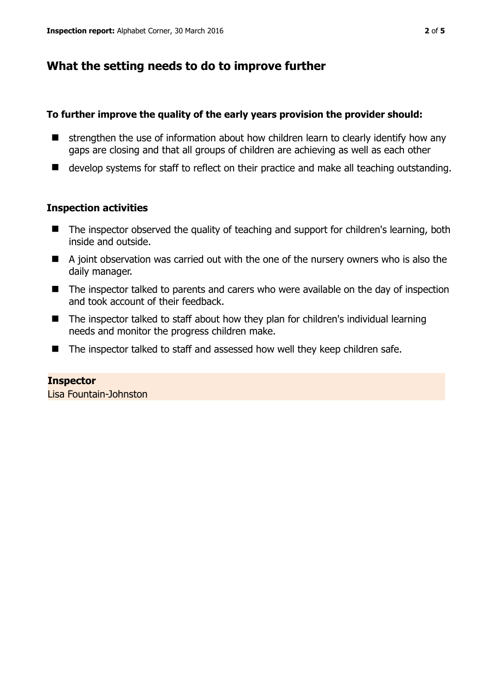# **What the setting needs to do to improve further**

#### **To further improve the quality of the early years provision the provider should:**

- $\blacksquare$  strengthen the use of information about how children learn to clearly identify how any gaps are closing and that all groups of children are achieving as well as each other
- develop systems for staff to reflect on their practice and make all teaching outstanding.

## **Inspection activities**

- The inspector observed the quality of teaching and support for children's learning, both inside and outside.
- A joint observation was carried out with the one of the nursery owners who is also the daily manager.
- The inspector talked to parents and carers who were available on the day of inspection and took account of their feedback.
- The inspector talked to staff about how they plan for children's individual learning needs and monitor the progress children make.
- The inspector talked to staff and assessed how well they keep children safe.

#### **Inspector**

Lisa Fountain-Johnston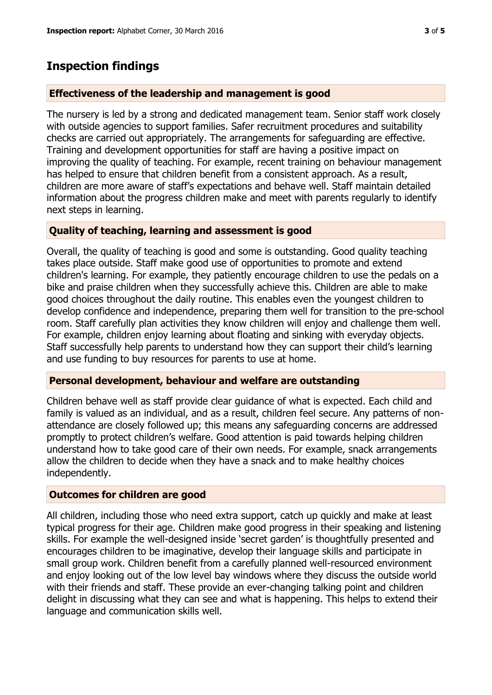## **Inspection findings**

#### **Effectiveness of the leadership and management is good**

The nursery is led by a strong and dedicated management team. Senior staff work closely with outside agencies to support families. Safer recruitment procedures and suitability checks are carried out appropriately. The arrangements for safeguarding are effective. Training and development opportunities for staff are having a positive impact on improving the quality of teaching. For example, recent training on behaviour management has helped to ensure that children benefit from a consistent approach. As a result, children are more aware of staff's expectations and behave well. Staff maintain detailed information about the progress children make and meet with parents regularly to identify next steps in learning.

#### **Quality of teaching, learning and assessment is good**

Overall, the quality of teaching is good and some is outstanding. Good quality teaching takes place outside. Staff make good use of opportunities to promote and extend children's learning. For example, they patiently encourage children to use the pedals on a bike and praise children when they successfully achieve this. Children are able to make good choices throughout the daily routine. This enables even the youngest children to develop confidence and independence, preparing them well for transition to the pre-school room. Staff carefully plan activities they know children will enjoy and challenge them well. For example, children enjoy learning about floating and sinking with everyday objects. Staff successfully help parents to understand how they can support their child's learning and use funding to buy resources for parents to use at home.

#### **Personal development, behaviour and welfare are outstanding**

Children behave well as staff provide clear guidance of what is expected. Each child and family is valued as an individual, and as a result, children feel secure. Any patterns of nonattendance are closely followed up; this means any safeguarding concerns are addressed promptly to protect children's welfare. Good attention is paid towards helping children understand how to take good care of their own needs. For example, snack arrangements allow the children to decide when they have a snack and to make healthy choices independently.

#### **Outcomes for children are good**

All children, including those who need extra support, catch up quickly and make at least typical progress for their age. Children make good progress in their speaking and listening skills. For example the well-designed inside 'secret garden' is thoughtfully presented and encourages children to be imaginative, develop their language skills and participate in small group work. Children benefit from a carefully planned well-resourced environment and enjoy looking out of the low level bay windows where they discuss the outside world with their friends and staff. These provide an ever-changing talking point and children delight in discussing what they can see and what is happening. This helps to extend their language and communication skills well.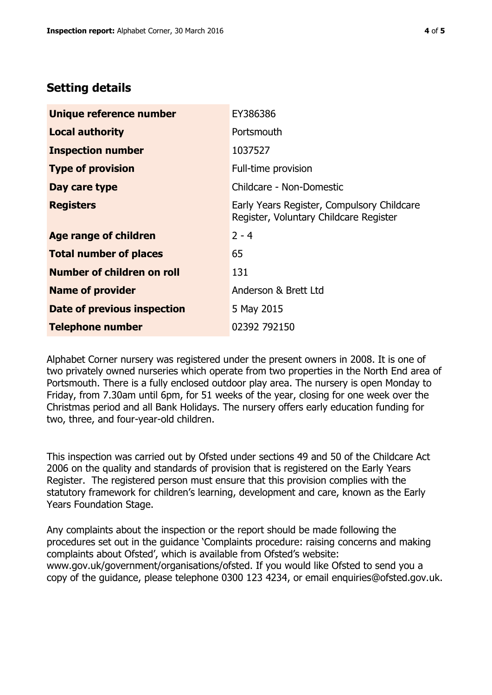# **Setting details**

| Unique reference number       | EY386386                                                                             |  |
|-------------------------------|--------------------------------------------------------------------------------------|--|
| <b>Local authority</b>        | Portsmouth                                                                           |  |
| <b>Inspection number</b>      | 1037527                                                                              |  |
| <b>Type of provision</b>      | Full-time provision                                                                  |  |
| Day care type                 | Childcare - Non-Domestic                                                             |  |
| <b>Registers</b>              | Early Years Register, Compulsory Childcare<br>Register, Voluntary Childcare Register |  |
| <b>Age range of children</b>  | $2 - 4$                                                                              |  |
| <b>Total number of places</b> | 65                                                                                   |  |
| Number of children on roll    | 131                                                                                  |  |
| <b>Name of provider</b>       | Anderson & Brett Ltd                                                                 |  |
| Date of previous inspection   | 5 May 2015                                                                           |  |
| <b>Telephone number</b>       | 02392 792150                                                                         |  |

Alphabet Corner nursery was registered under the present owners in 2008. It is one of two privately owned nurseries which operate from two properties in the North End area of Portsmouth. There is a fully enclosed outdoor play area. The nursery is open Monday to Friday, from 7.30am until 6pm, for 51 weeks of the year, closing for one week over the Christmas period and all Bank Holidays. The nursery offers early education funding for two, three, and four-year-old children.

This inspection was carried out by Ofsted under sections 49 and 50 of the Childcare Act 2006 on the quality and standards of provision that is registered on the Early Years Register. The registered person must ensure that this provision complies with the statutory framework for children's learning, development and care, known as the Early Years Foundation Stage.

Any complaints about the inspection or the report should be made following the procedures set out in the guidance 'Complaints procedure: raising concerns and making complaints about Ofsted', which is available from Ofsted's website: www.gov.uk/government/organisations/ofsted. If you would like Ofsted to send you a copy of the guidance, please telephone 0300 123 4234, or email enquiries@ofsted.gov.uk.